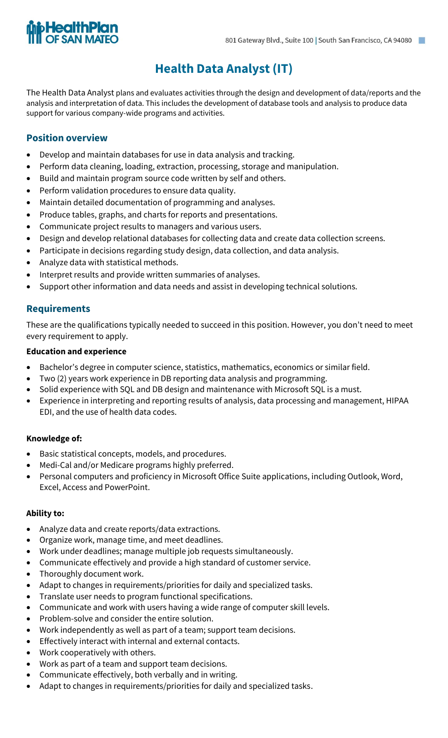## **Health Data Analyst (IT)**

The Health Data Analyst plans and evaluates activities through the design and development of data/reports and the analysis and interpretation of data. This includes the development of database tools and analysis to produce data support for various company-wide programs and activities.

#### **Position overview**

- Develop and maintain databases for use in data analysis and tracking.
- Perform data cleaning, loading, extraction, processing, storage and manipulation.
- Build and maintain program source code written by self and others.
- Perform validation procedures to ensure data quality.
- Maintain detailed documentation of programming and analyses.
- Produce tables, graphs, and charts for reports and presentations.
- Communicate project results to managers and various users.
- Design and develop relational databases for collecting data and create data collection screens.
- Participate in decisions regarding study design, data collection, and data analysis.
- Analyze data with statistical methods.
- Interpret results and provide written summaries of analyses.
- Support other information and data needs and assist in developing technical solutions.

#### **Requirements**

These are the qualifications typically needed to succeed in this position. However, you don't need to meet every requirement to apply.

#### **Education and experience**

- Bachelor's degree in computer science, statistics, mathematics, economics or similar field.
- Two (2) years work experience in DB reporting data analysis and programming.
- Solid experience with SQL and DB design and maintenance with Microsoft SQL is a must.
- Experience in interpreting and reporting results of analysis, data processing and management, HIPAA EDI, and the use of health data codes.

#### **Knowledge of:**

- Basic statistical concepts, models, and procedures.
- Medi-Cal and/or Medicare programs highly preferred.
- Personal computers and proficiency in Microsoft Office Suite applications, including Outlook, Word, Excel, Access and PowerPoint.

#### **Ability to:**

- Analyze data and create reports/data extractions.
- Organize work, manage time, and meet deadlines.
- Work under deadlines; manage multiple job requests simultaneously.
- Communicate effectively and provide a high standard of customer service.
- Thoroughly document work.
- Adapt to changes in requirements/priorities for daily and specialized tasks.
- Translate user needs to program functional specifications.
- Communicate and work with users having a wide range of computer skill levels.
- Problem-solve and consider the entire solution.
- Work independently as well as part of a team; support team decisions.
- Effectively interact with internal and external contacts.
- Work cooperatively with others.
- Work as part of a team and support team decisions.
- Communicate effectively, both verbally and in writing.
- Adapt to changes in requirements/priorities for daily and specialized tasks.